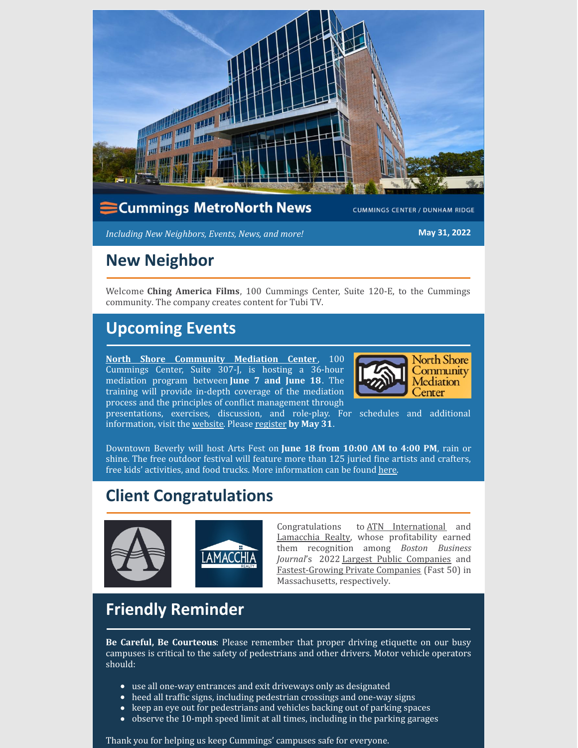

*Including New Neighbors, Events, News, and more!* **May 31, 2022**

## **New Neighbor**

Welcome **Ching America Films**, 100 Cummings Center, Suite 120-E, to the Cummings community. The company creates content for Tubi TV.

# **Upcoming Events**

**North Shore [Community](https://nsmediation.org/) Mediation Center**, 100 Cummings Center, Suite 307-J, is hosting a 36-hour mediation program between **June 7 and June 18**. The training will provide in-depth coverage of the mediation process and the principles of conflict management through



presentations, exercises, discussion, and role-play. For schedules and additional information, visit the [website](https://nsmediation.org/registration-open-basic-mediation-training-june-7-18-2022/). Please [register](https://forms.office.com/r/XTe5UnvCCs) **by May 31**.

Downtown Beverly will host Arts Fest on **June 18 from 10:00 AM to 4:00 PM**, rain or shine. The free outdoor festival will feature more than 125 juried fine artists and crafters, free kids' activities, and food trucks. More information can be found [here](https://www.bevmain.org/arts-fest-beverly/).

# **Client Congratulations**



Congratulations to ATN [International](https://www.atni.com/) and [Lamacchia](https://www.lamacchiarealty.com/) Realty, whose profitability earned them recognition among *Boston Business Journal*'s 2022 Largest Public [Companies](https://www.bizjournals.com/boston/news/2022/05/19/which-mass-public-companies-have-fared-best-and-w.html) and [Fastest-Growing](https://www.bizjournals.com/boston/news/2022/03/22/bbj-releases-this-year-s-list-of-fast-50-honorees.html) Private Companies (Fast 50) in Massachusetts, respectively.

# **Friendly Reminder**

**Be Careful, Be Courteous**: Please remember that proper driving etiquette on our busy campuses is critical to the safety of pedestrians and other drivers. Motor vehicle operators should:

- use all one-way entrances and exit driveways only as designated
- heed all traffic signs, including pedestrian crossings and one-way signs
- keep an eye out for pedestrians and vehicles backing out of parking spaces
- observe the 10-mph speed limit at all times, including in the parking garages  $\bullet$

Thank you for helping us keep Cummings' campuses safe for everyone.